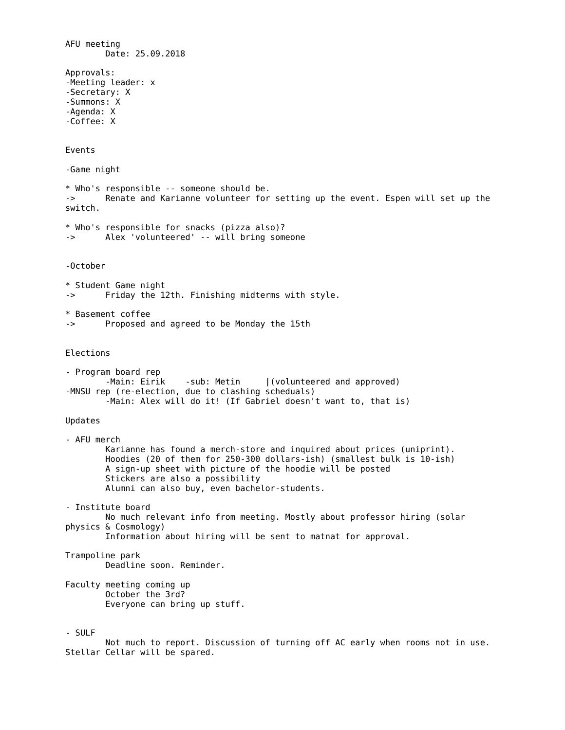AFU meeting Date: 25.09.2018 Approvals: -Meeting leader: x -Secretary: X -Summons: X -Agenda: X -Coffee: X Events -Game night \* Who's responsible -- someone should be. -> Renate and Karianne volunteer for setting up the event. Espen will set up the switch. \* Who's responsible for snacks (pizza also)? -> Alex 'volunteered' -- will bring someone -October \* Student Game night -> Friday the 12th. Finishing midterms with style. \* Basement coffee -> Proposed and agreed to be Monday the 15th Elections - Program board rep -Main: Eirik -sub: Metin |(volunteered and approved) -MNSU rep (re-election, due to clashing scheduals) -Main: Alex will do it! (If Gabriel doesn't want to, that is) Updates - AFU merch Karianne has found a merch-store and inquired about prices (uniprint). Hoodies (20 of them for 250-300 dollars-ish) (smallest bulk is 10-ish) A sign-up sheet with picture of the hoodie will be posted Stickers are also a possibility Alumni can also buy, even bachelor-students. - Institute board No much relevant info from meeting. Mostly about professor hiring (solar physics & Cosmology) Information about hiring will be sent to matnat for approval. Trampoline park Deadline soon. Reminder. Faculty meeting coming up October the 3rd? Everyone can bring up stuff. - SULF Not much to report. Discussion of turning off AC early when rooms not in use. Stellar Cellar will be spared.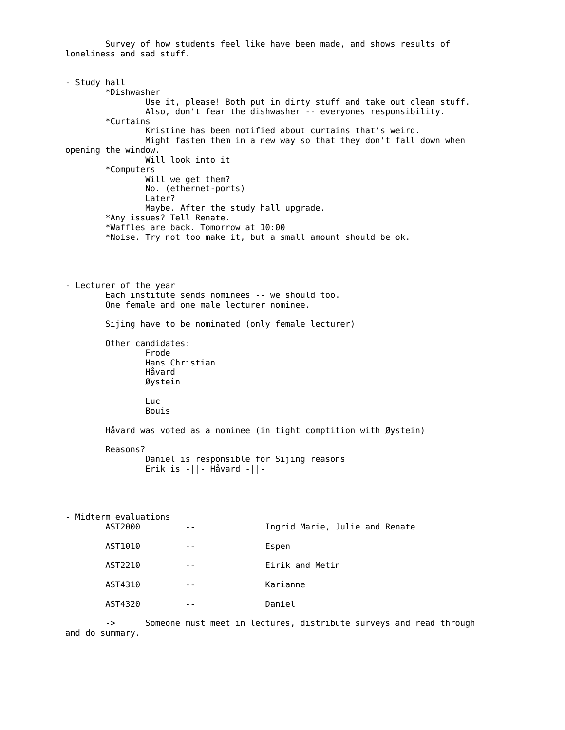Survey of how students feel like have been made, and shows results of loneliness and sad stuff. - Study hall \*Dishwasher Use it, please! Both put in dirty stuff and take out clean stuff. Also, don't fear the dishwasher -- everyones responsibility. \*Curtains Kristine has been notified about curtains that's weird. Might fasten them in a new way so that they don't fall down when opening the window. Will look into it \*Computers Will we get them? No. (ethernet-ports) Later? Maybe. After the study hall upgrade. \*Any issues? Tell Renate. \*Waffles are back. Tomorrow at 10:00 \*Noise. Try not too make it, but a small amount should be ok. - Lecturer of the year Each institute sends nominees -- we should too. One female and one male lecturer nominee. Sijing have to be nominated (only female lecturer) Other candidates: Frode Hans Christian Håvard Øystein Luc Bouis Håvard was voted as a nominee (in tight comptition with Øystein) Reasons? Daniel is responsible for Sijing reasons Erik is -||- Håvard -||- - Midterm evaluations -- **Ingrid Marie, Julie and Renate** AST1010 -- Espen AST2210 -- Eirik and Metin AST4310 -- Karianne AST4320 -- Daniel

-> Someone must meet in lectures, distribute surveys and read through and do summary.